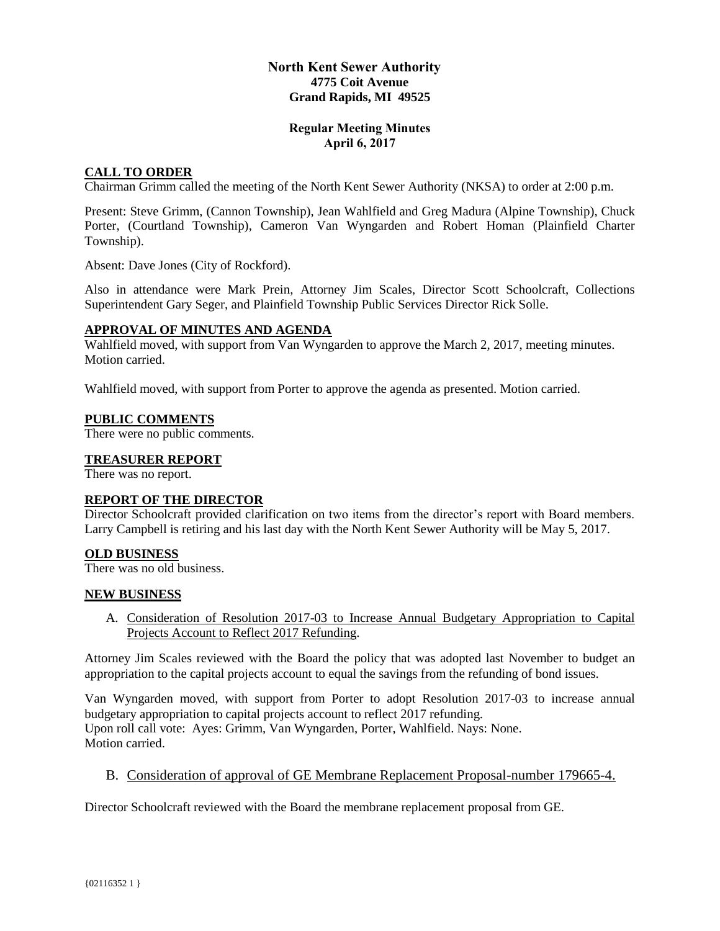# **North Kent Sewer Authority 4775 Coit Avenue Grand Rapids, MI 49525**

## **Regular Meeting Minutes April 6, 2017**

# **CALL TO ORDER**

Chairman Grimm called the meeting of the North Kent Sewer Authority (NKSA) to order at 2:00 p.m.

Present: Steve Grimm, (Cannon Township), Jean Wahlfield and Greg Madura (Alpine Township), Chuck Porter, (Courtland Township), Cameron Van Wyngarden and Robert Homan (Plainfield Charter Township).

Absent: Dave Jones (City of Rockford).

Also in attendance were Mark Prein, Attorney Jim Scales, Director Scott Schoolcraft, Collections Superintendent Gary Seger, and Plainfield Township Public Services Director Rick Solle.

## **APPROVAL OF MINUTES AND AGENDA**

Wahlfield moved, with support from Van Wyngarden to approve the March 2, 2017, meeting minutes. Motion carried.

Wahlfield moved, with support from Porter to approve the agenda as presented. Motion carried.

#### **PUBLIC COMMENTS**

There were no public comments.

## **TREASURER REPORT**

There was no report.

#### **REPORT OF THE DIRECTOR**

Director Schoolcraft provided clarification on two items from the director's report with Board members. Larry Campbell is retiring and his last day with the North Kent Sewer Authority will be May 5, 2017.

#### **OLD BUSINESS**

There was no old business.

#### **NEW BUSINESS**

A. Consideration of Resolution 2017-03 to Increase Annual Budgetary Appropriation to Capital Projects Account to Reflect 2017 Refunding.

Attorney Jim Scales reviewed with the Board the policy that was adopted last November to budget an appropriation to the capital projects account to equal the savings from the refunding of bond issues.

Van Wyngarden moved, with support from Porter to adopt Resolution 2017-03 to increase annual budgetary appropriation to capital projects account to reflect 2017 refunding. Upon roll call vote: Ayes: Grimm, Van Wyngarden, Porter, Wahlfield. Nays: None. Motion carried.

B. Consideration of approval of GE Membrane Replacement Proposal-number 179665-4.

Director Schoolcraft reviewed with the Board the membrane replacement proposal from GE.